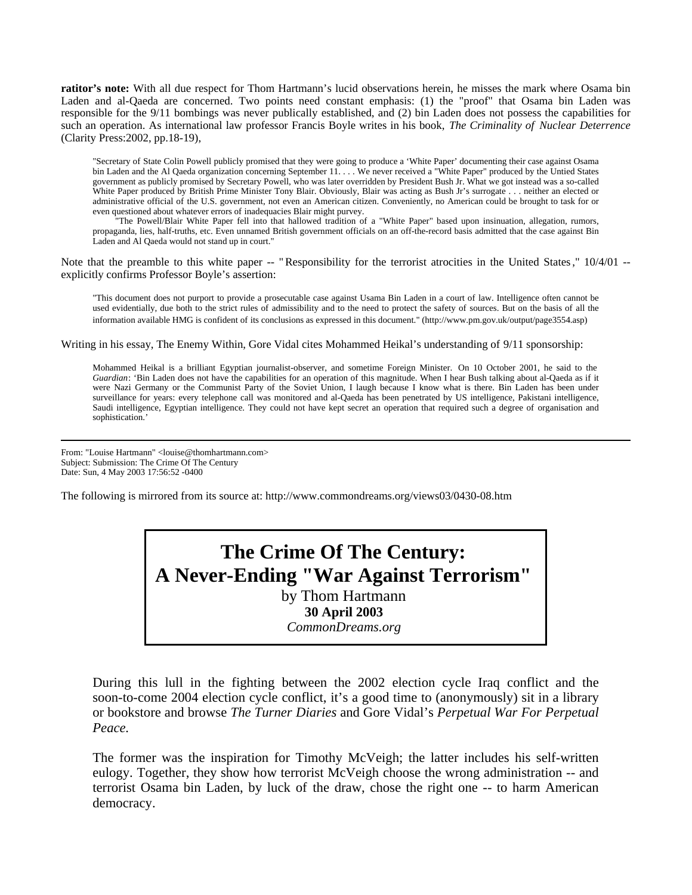**ratitor's note:** With all due respect for Thom Hartmann's lucid observations herein, he misses the mark where Osama bin Laden and al-Qaeda are concerned. Two points need constant emphasis: (1) the "proof" that Osama bin Laden was responsible for the 9/11 bombings was never publically established, and (2) bin Laden does not possess the capabilities for such an operation. As international law professor Francis Boyle writes in his book, *The Criminality of Nuclear Deterrence* (Clarity Press:2002, pp.18-19),

"Secretary of State Colin Powell publicly promised that they were going to produce a 'White Paper' documenting their case against Osama bin Laden and the Al Qaeda organization concerning September 11. . . . We never received a "White Paper" produced by the Untied States government as publicly promised by Secretary Powell, who was later overridden by President Bush Jr. What we got instead was a so-called White Paper produced by British Prime Minister Tony Blair. Obviously, Blair was acting as Bush Jr's surrogate . . . neither an elected or administrative official of the U.S. government, not even an American citizen. Conveniently, no American could be brought to task for or even questioned about whatever errors of inadequacies Blair might purvey.

The Powell/Blair White Paper fell into that hallowed tradition of a "White Paper" based upon insinuation, allegation, rumors, propaganda, lies, half-truths, etc. Even unnamed British government officials on an off-the-record basis admitted that the case against Bin Laden and Al Qaeda would not stand up in court."

Note that the preamble to this white paper -- "Responsibility for the terrorist atrocities in the United States,"  $10/4/01$  -explicitly confirms Professor Boyle's assertion:

"This document does not purport to provide a prosecutable case against Usama Bin Laden in a court of law. Intelligence often cannot be used evidentially, due both to the strict rules of admissibility and to the need to protect the safety of sources. But on the basis of all the information available HMG is confident of its conclusions as expressed in this document." (http://www.pm.gov.uk/output/page3554.asp)

Writing in his essay, The Enemy Within, Gore Vidal cites Mohammed Heikal's understanding of 9/11 sponsorship:

Mohammed Heikal is a brilliant Egyptian journalist-observer, and sometime Foreign Minister. On 10 October 2001, he said to the *Guardian*: 'Bin Laden does not have the capabilities for an operation of this magnitude. When I hear Bush talking about al-Qaeda as if it were Nazi Germany or the Communist Party of the Soviet Union, I laugh because I know what is there. Bin Laden has been under surveillance for years: every telephone call was monitored and al-Qaeda has been penetrated by US intelligence, Pakistani intelligence, Saudi intelligence, Egyptian intelligence. They could not have kept secret an operation that required such a degree of organisation and sophistication.'

From: "Louise Hartmann" <louise@thomhartmann.com> Subject: Submission: The Crime Of The Century Date: Sun, 4 May 2003 17:56:52 -0400

The following is mirrored from its source at: http://www.commondreams.org/views03/0430-08.htm

**The Crime Of The Century: A Never-Ending "War Against Terrorism"**  by Thom Hartmann **30 April 2003**  *CommonDreams.org* 

During this lull in the fighting between the 2002 election cycle Iraq conflict and the soon-to-come 2004 election cycle conflict, it's a good time to (anonymously) sit in a library or bookstore and browse *The Turner Diaries* and Gore Vidal's *Perpetual War For Perpetual Peace.*

The former was the inspiration for Timothy McVeigh; the latter includes his self-written eulogy. Together, they show how terrorist McVeigh choose the wrong administration -- and terrorist Osama bin Laden, by luck of the draw, chose the right one -- to harm American democracy.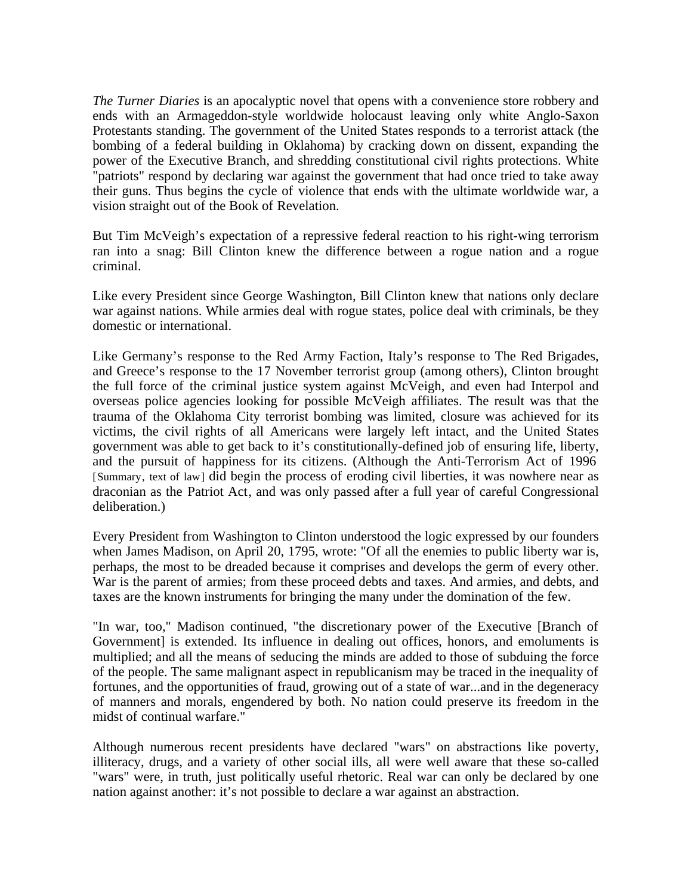*The Turner Diaries* is an apocalyptic novel that opens with a convenience store robbery and ends with an Armageddon-style worldwide holocaust leaving only white Anglo-Saxon Protestants standing. The government of the United States responds to a terrorist attack (the bombing of a federal building in Oklahoma) by cracking down on dissent, expanding the power of the Executive Branch, and shredding constitutional civil rights protections. White "patriots" respond by declaring war against the government that had once tried to take away their guns. Thus begins the cycle of violence that ends with the ultimate worldwide war, a vision straight out of the Book of Revelation.

But Tim McVeigh's expectation of a repressive federal reaction to his right-wing terrorism ran into a snag: Bill Clinton knew the difference between a rogue nation and a rogue criminal.

Like every President since George Washington, Bill Clinton knew that nations only declare war against nations. While armies deal with rogue states, police deal with criminals, be they domestic or international.

Like Germany's response to the Red Army Faction, Italy's response to The Red Brigades, and Greece's response to the 17 November terrorist group (among others), Clinton brought the full force of the criminal justice system against McVeigh, and even had Interpol and overseas police agencies looking for possible McVeigh affiliates. The result was that the trauma of the Oklahoma City terrorist bombing was limited, closure was achieved for its victims, the civil rights of all Americans were largely left intact, and the United States government was able to get back to it's constitutionally-defined job of ensuring life, liberty, and the pursuit of happiness for its citizens. (Although the Anti-Terrorism Act of 1996 [Summary, text of law] did begin the process of eroding civil liberties, it was nowhere near as draconian as the Patriot Act, and was only passed after a full year of careful Congressional deliberation.)

Every President from Washington to Clinton understood the logic expressed by our founders when James Madison, on April 20, 1795, wrote: "Of all the enemies to public liberty war is, perhaps, the most to be dreaded because it comprises and develops the germ of every other. War is the parent of armies; from these proceed debts and taxes. And armies, and debts, and taxes are the known instruments for bringing the many under the domination of the few.

"In war, too," Madison continued, "the discretionary power of the Executive [Branch of Government] is extended. Its influence in dealing out offices, honors, and emoluments is multiplied; and all the means of seducing the minds are added to those of subduing the force of the people. The same malignant aspect in republicanism may be traced in the inequality of fortunes, and the opportunities of fraud, growing out of a state of war...and in the degeneracy of manners and morals, engendered by both. No nation could preserve its freedom in the midst of continual warfare."

Although numerous recent presidents have declared "wars" on abstractions like poverty, illiteracy, drugs, and a variety of other social ills, all were well aware that these so-called "wars" were, in truth, just politically useful rhetoric. Real war can only be declared by one nation against another: it's not possible to declare a war against an abstraction.